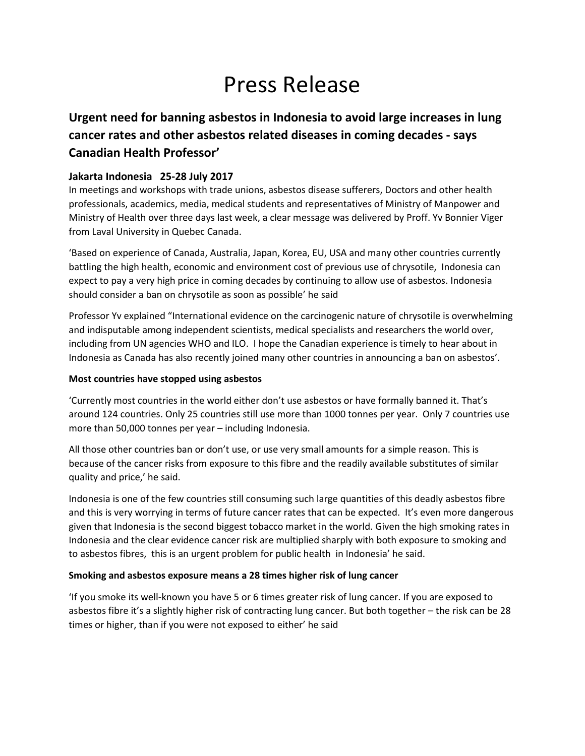# Press Release

## **Urgent need for banning asbestos in Indonesia to avoid large increases in lung cancer rates and other asbestos related diseases in coming decades - says Canadian Health Professor'**

### **Jakarta Indonesia 25-28 July 2017**

In meetings and workshops with trade unions, asbestos disease sufferers, Doctors and other health professionals, academics, media, medical students and representatives of Ministry of Manpower and Ministry of Health over three days last week, a clear message was delivered by Proff. Yv Bonnier Viger from Laval University in Quebec Canada.

'Based on experience of Canada, Australia, Japan, Korea, EU, USA and many other countries currently battling the high health, economic and environment cost of previous use of chrysotile, Indonesia can expect to pay a very high price in coming decades by continuing to allow use of asbestos. Indonesia should consider a ban on chrysotile as soon as possible' he said

Professor Yv explained "International evidence on the carcinogenic nature of chrysotile is overwhelming and indisputable among independent scientists, medical specialists and researchers the world over, including from UN agencies WHO and ILO. I hope the Canadian experience is timely to hear about in Indonesia as Canada has also recently joined many other countries in announcing a ban on asbestos'.

#### **Most countries have stopped using asbestos**

'Currently most countries in the world either don't use asbestos or have formally banned it. That's around 124 countries. Only 25 countries still use more than 1000 tonnes per year. Only 7 countries use more than 50,000 tonnes per year – including Indonesia.

All those other countries ban or don't use, or use very small amounts for a simple reason. This is because of the cancer risks from exposure to this fibre and the readily available substitutes of similar quality and price,' he said.

Indonesia is one of the few countries still consuming such large quantities of this deadly asbestos fibre and this is very worrying in terms of future cancer rates that can be expected. It's even more dangerous given that Indonesia is the second biggest tobacco market in the world. Given the high smoking rates in Indonesia and the clear evidence cancer risk are multiplied sharply with both exposure to smoking and to asbestos fibres, this is an urgent problem for public health in Indonesia' he said.

#### **Smoking and asbestos exposure means a 28 times higher risk of lung cancer**

'If you smoke its well-known you have 5 or 6 times greater risk of lung cancer. If you are exposed to asbestos fibre it's a slightly higher risk of contracting lung cancer. But both together – the risk can be 28 times or higher, than if you were not exposed to either' he said